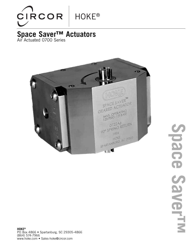

## **Space Saver™ Actuators** Air Actuated 0700 Series



Space **Space Saver™** SaverTM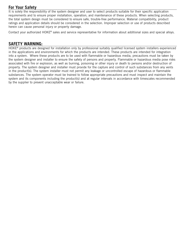### **For Your Safety**

It is solely the responsibility of the system designer and user to select products suitable for their specific application requirements and to ensure proper installation, operation, and maintenance of these products. When selecting products, the total system design must be considered to ensure safe, trouble-free performance. Material compatibility, product ratings and application details should be considered in the selection. Improper selection or use of products described herein can cause personal injury or property damage.

Contact your authorized HOKE® sales and service representative for information about additional sizes and special alloys.

#### **SAFETY WARNING:**

HOKE<sup>®</sup> products are designed for installation only by professional suitably qualified licensed system installers experienced in the applications and environments for which the products are intended. These products are intended for integration into a system. Where these products are to be used with flammable or hazardous media, precautions must be taken by the system designer and installer to ensure the safety of persons and property. Flammable or hazardous media pose risks associated with fire or explosion, as well as burning, poisoning or other injury or death to persons and/or destruction of property. The system designer and installer must provide for the capture and control of such substances from any vents in the product(s). The system installer must not permit any leakage or uncontrolled escape of hazardous or flammable substances. The system operator must be trained to follow appropriate precautions and must inspect and maintain the system and its components including the product(s) and at regular intervals in accordance with timescales recommended by the supplier to prevent unacceptable wear or failure.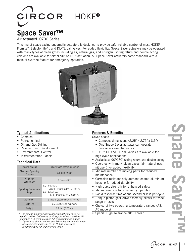# **HOKE®**

# **Space Saver™**

**CIRCOR** 

Air Actuated 0700 Series

This line of space saving pneumatic actuators is designed to provide safe, reliable control of most HOKE® Flomite®, Selectomite®, and DL/TL ball valves. For added flexibility, Space Saver actuators may be operated with many types of clean gases including air, natural gas, and nitrogen. Spring return and double acting versions are available for either 90º or 180º actuation. All Space Saver actuators come standard with a manual override feature for emergency operation.



#### **Typical Applications**

- Chemical
- Petrochemical
- Oil and Gas Drilling
- Research and Development
- Environmental Control
- Instrumentation Panels

#### **Technical Data**

| <b>Housing Material</b>               | Polyurethane coated aluminum                                                                                  |
|---------------------------------------|---------------------------------------------------------------------------------------------------------------|
| <b>Maximum Operating</b><br>Pressure  | 125 $psig(9)$ bar)                                                                                            |
| Air Supply<br>Connection*             | $\frac{1}{2}$ Female NPT                                                                                      |
| <b>Operating Temperature</b><br>Range | A6L Actuators-<br>$-40^{\circ}$ to 250° F (-40° to 121° C)<br>A6H Actuators-<br>0° to 400° F (-18° to 204° C) |
| Cycle time**                          | 1 second (dependent on air supply)                                                                            |
| <b>Cycle Life</b>                     | 250,000 cycles minimum                                                                                        |
| Weight                                | 1.7 lbs. (0.75 kg)                                                                                            |

\* The air line supplying and venting the actuator must not restrict airflow. Orifice size of air supply valves should be 3⁄32″<br>minimum (2.4 mm) to assure full actuator torque output.

Cycle time should not exceed 10 cycles per minute when operating continuously. DL or TL ball valves are recommended for higher cycle times.

#### **Features & Benefits**

Saves space

- Compact dimensions (2.25˝ x 2.75˝ x 3.5˝)
- One Space Saver actuator can operate two valves simultaneously
- HOKE® DL and TL ball valves are available for high cycle applications
- Available as 90°/180° spring return and double acting
- Operates with many clean gases (air, natural gas,
	- nitrogen) for added flexibility
- Minimal number of moving parts for reduced maintenance
- Corrosion resistant polyurethane coated aluminum housing for added durability
- High burst strength for enhanced safety
- Manual override for emergency operation
- Rapid response time of one second or less per cycle
- Unique piston gear drive assembly allows for wide range of uses
- Choice of two operating temperature ranges (A3, A5 models)
- Special High Tolerance NPT Thread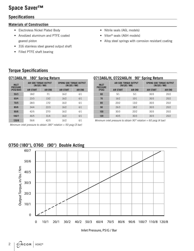# **Space Saver™**

### **Specifications**

#### **Materials of Construction**

- Electroless Nickel Plated Body
- Anodized aluminum and PTFE coated geared piston
- 316 stainless steel geared output shaft
- Filled PTFE shaft bearing
- Nitrile seals (A6L models)
- Viton® seals (A6H models)
- Alloy steel springs with corrosion resistant coating

## **Torque Specifications**

| <b>180° Spring Return</b><br>0713A6L/H        |                                         |                |                                                   |                |  |
|-----------------------------------------------|-----------------------------------------|----------------|---------------------------------------------------|----------------|--|
| <b>INLET</b><br><b>PRESSURE</b><br>(PSIG/BAR) | AIR SIDE TORQUE OUTPUT<br>(IN/LES / NM) |                | <b>SPRING SIDE TORQUE OUTPUT</b><br>(IN/LES / NM) |                |  |
|                                               | <b>AIR START</b>                        | <b>AIR END</b> | <b>AIR START</b>                                  | <b>AIR END</b> |  |
| 50/3                                          | 18/2                                    | 7/1            | 16/2                                              | 6/1            |  |
| 60/4                                          | 23/3                                    | 13/2           | 16/2                                              | 6/1            |  |
| 70/5                                          | 28/3                                    | 17/2           | 16/2                                              | 6/1            |  |
| 80/6                                          | 34/4                                    | 22/3           | 16/2                                              | 6/1            |  |
| 90/6                                          | 42/5                                    | 27/3           | 16/2                                              | 6/1            |  |
| 100/7                                         | 46/5                                    | 31/4           | 16/2                                              | 6/1            |  |
| 120/8                                         | 56/6                                    | 42/5           | 16/2                                              | 6/1            |  |

#### **0713A6L/H, 0722A6L/H 90° Spring Return**

| <b>INLET</b><br><b>PRESSURE</b><br>(PSIG) | AIR SIDE TORQUE OUTPUT<br>(IN/LES / NM) |                | <b>SPRING SIDE TORQUE OUTPUT</b><br>(IN/LES / NM) |                |  |
|-------------------------------------------|-----------------------------------------|----------------|---------------------------------------------------|----------------|--|
|                                           | <b>AIR START</b>                        | <b>AIR END</b> | <b>AIR START</b>                                  | <b>AIR END</b> |  |
| 60                                        | 9/1                                     | 5/1            | 30/3                                              | 20/2           |  |
| 70                                        | 16/2                                    | 10/1           | 30/3                                              | 20/2           |  |
| 80                                        | 20/2                                    |                | 30/3                                              | 20/2           |  |
| 90                                        | 26/3                                    |                | 30/3                                              | 20/2           |  |
| 100                                       | 30/3                                    | 20/2           | 30/3                                              | 20/2           |  |
| 120                                       | 40/5                                    | 30/3           | 30/3                                              | 20/2           |  |

Minimum inlet pressure to obtain 90 $^{\circ}$  rotation = 60 psig (4 bar)



## **0750 (180°), 0760 (90°) Double Acting**

Minimum inlet pressure to obtain  $180^\circ$  rotation = 50 psig (3 bar)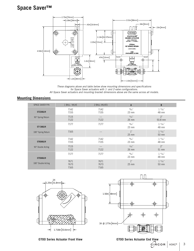# **Space Saver™**



These diagrams above and table below show mounting dimensions and specifications for Space Saver actuators with 1- and 2-valve configurations. All Space Saver actuators and mounting bracket dimensions above are the same across all models.

#### **Mounting Dimensions**

| <b>SPACE SAVER P/N</b> | 1 BALL VALVE         | 2 BALL VALVES             | $\mathsf{A}$     | B                            |
|------------------------|----------------------|---------------------------|------------------|------------------------------|
| 0722A6L/H              | 7142<br>7155         | 7142<br>7155              | 59/64''<br>23 mm | $15\%4$<br>48 mm             |
| 90° Spring Return      | 7115<br>7122         | $-$<br>7122               | 11/32''<br>26 mm | 2"<br>50.8 mm                |
| 0713A6L/H              | 7177                 | 7177                      | 59/64<br>$23$ mm | $15\%4$<br>48 mm             |
| 180° Spring Return     | 7165                 | $-$                       | 1''<br>$25$ mm   | $1 \frac{31}{32}$ "<br>50 mm |
| 0760A6L/H              | 7142<br>7155         | 7142<br>7155              | 59/64<br>$23$ mm | $15\%4$<br>48 mm             |
| 90° Double Acting      | 7115<br>7122         | $\qquad \qquad -$<br>7122 | 11/32''<br>26 mm | 2"<br>51 mm                  |
| 0750A6L/H              | 7177                 | 7177                      | 59/64<br>$23$ mm | $15\%4$<br>48 mm             |
| 180° Double Acting     | 7671<br>7673<br>7165 | 7671<br>7673<br>7165      | 1''<br>25 mm     | $1 \frac{31}{32}$ "<br>50 mm |





**0700 Series Actuator Front View <b>0700 Series Actuator End View**<br>CIRCOR | HOKE®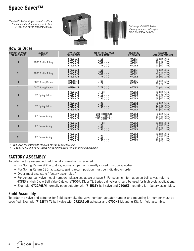# **Space Saver™**

The 0700 Series single actuator offers the capability of operating up to two 2-way ball valves simultaneously.





Cut-away of 0700 Series showing unique piston/gear drive assembly design.

#### **How to Order**

| <b>NUMBER OF VALVES</b><br><b>PER ACTUATOR*</b> | <b>ACTUATOR</b><br><b>TYPE</b> | <b>SPACE SAVER</b><br><b>PART NUMBER</b>         | <b>USE WITH BALL VALVE</b><br><b>PART NUMBER**</b>                  | <b>MOUNTING</b><br><b>KIT NUMBER</b> | <b>REQUIRED</b><br><b>ACTUATION PRESSURE</b>                             |
|-------------------------------------------------|--------------------------------|--------------------------------------------------|---------------------------------------------------------------------|--------------------------------------|--------------------------------------------------------------------------|
|                                                 | 180° Double Acting             | 0750A6L/H<br>0750A6L/H<br>0750A6L/H<br>0750A6L/H | 7165 [] [] []<br>7671 [] [] []<br>7673 [] [] []<br>7177 [] [] []    | 0700K1<br>0700K1<br>0700K1<br>0700K2 | 30 psig (2 bar)<br>40 psig (2 bar)<br>40 psig (2 bar)<br>20 psig (1 bar) |
| $2*$                                            | 180° Double Acting             | 0750A6L/H<br>0750A6L/H<br>0750A6L/H<br>0750A6L/H | 7165 [] [] []<br>7671 [] [] []<br>7673 [] [] []<br>7177 [] [] []    | 0700K1<br>0700K1<br>0700K1<br>0700K2 | 50 psig (3 bar)<br>60 psig (4 bar)<br>60 psig (4 bar)<br>25 psig (2 bar) |
|                                                 | 180° Spring Return             | 0713A6L/H<br>0713A6L/H                           | 7165 [] [] []<br>7177 [] [] []                                      | 0700K1<br>0700K2                     | 60 psig (4 bar)<br>40 psig (2 bar)                                       |
| $2*$                                            | 180° Spring Return             | 0713A6L/H                                        | $7177$ [] [] []                                                     | 0700K2                               | 50 psig (3 bar)                                                          |
|                                                 | 90° Spring Return              | 0722A6L/H<br>0722A6L/H<br>0722A6L/H<br>0722A6L/H | 7115 [] [] []<br>7122 [1] [1]<br>7142 [1] [1]<br>7155 [1] [1]       | 0700K3<br>0700K3<br>0700K2<br>0700K2 | 80 psig (6 bar)<br>70 psig (5 bar)<br>60 psig (4 bar)<br>65 psig (4 bar) |
| $2*$                                            | 90° Spring Return              | 0722A6L/H<br>0722A6L/H<br>0722A6L/H<br>0722A6L/H | 7122 [] [] []<br>7142 [] [] []<br>7155 [] [] []                     | 0700K3<br>0700K2<br>0700K2<br>0700K3 | 90 psig (6 bar)<br>70 psig (5 bar)<br>75 psig (5 bar)<br>80 psig (6 bar) |
|                                                 | 90° Double Acting              | 0760A6L/H<br>0760A6L/H<br>0760A6L/H              | 7115 [] [] [] DL []<br>7122 [] [] [] T L []<br>7022             T L | 0700K3<br>0700K3<br>0700K3           | 80 psig (6 bar)<br>70 psig (5 bar)<br>70 psig (5 bar)                    |
|                                                 | 90° Double Acting              | 0760A6L/H<br>0760A6L/H<br>0760A6L/H<br>0760A6L/H | 7115 [] [] []<br>7122 [1] [1]<br>7142 [1] [1]<br>7155 [1 [1] [1]    | 0700K3<br>0700K3<br>0700K2<br>0700K2 | 30 psig (2 bar)<br>25 psig (2 bar)<br>20 psig (1 bar)<br>20 psig (1 bar) |
| $2*$                                            | 90° Double Acting              | 0760A6L/H<br>0760A6L/H<br>0760A6L/H<br>0760A6L/H | 7122 [] [] []<br>7142 [] [] []<br>7155 [] [] []                     | 0700K3<br>0700K3<br>0700K2<br>0700K2 | 30 psig (2 bar)<br>25 psig (2 bar)<br>20 psig (1 bar)<br>20 psig (1 bar) |

\* Two valve mounting kits required for two valve operation.

\*\* 7165, 7177, and 7673 Series not recommended for high cycle applications.

#### **FACTORY ASSEMBLY**

To order factory assembled, additional information is required

- For Spring Return 90° actuators, normally open or normally closed must be specified.
- For Spring Return 180˚ actuators, spring return position must be indicated on order.
- Order must also state "factory assembled."
- For general ball valve model numbers, please see above or page 3. For specific information on ball valves, refer to HOKE<sup>®'</sup>s High Cycle Ball Valve Catalog #79067. DL or TL Series ball valves should be used for high cycle applications.
- Example: **0722A6L/H** normally open actuator with **7115G6Y** ball valve and **0700K3** mounting kit, factory assembled.

#### **Field Assembly**

To order the valve and actuator for field assembly, the valve number, actuator number and mounting kit number must be specified. Example: **7122F4Y TL** ball valve with **0722A6L/H** actuator and **0700K3** Mounting Kit, for field assembly.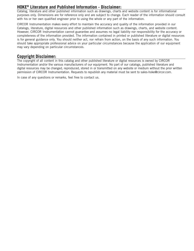#### **HOKE® Literature and Published Information - Disclaimer:**

Catalog, literature and other published information such as drawings, charts and website content is for informational purposes only. Dimensions are for reference only and are subject to change. Each reader of the information should consult with his or her own qualified engineer prior to using the whole or any part of the information.

CIRCOR Instrumentation makes every effort to maintain the accuracy and quality of the information provided in our Catalogs, literature, digital resources and other published information such as drawings, charts, and website content. However, CIRCOR Instrumentation cannot guarantee and assumes no legal liability nor responsibility for the accuracy or completeness of the information provided. The information contained in printed or published literature or digital resources is for general guidance only. You should neither act, nor refrain from action, on the basis of any such information. You should take appropriate professional advice on your particular circumstances because the application of our equipment may vary depending on particular circumstances.

#### **Copyright Disclaimer:**

The copyright of all content in this catalog and other published literature or digital resources is owned by CIRCOR Instrumentation and/or the various manufacturers of our equipment. No part of our catalogs, published literature and digital resources may be changed, reproduced, stored in or transmitted on any website or medium without the prior written permission of CIRCOR Instrumentation. Requests to republish any material must be sent to sales-hoke@circor.com.

In case of any questions or remarks, feel free to contact us.